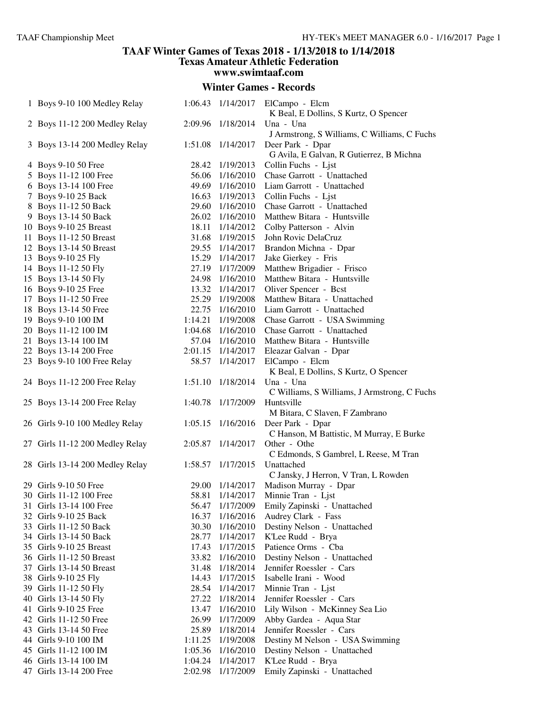| 1 Boys 9-10 100 Medley Relay    |         |                   | 1:06.43 1/14/2017 ElCampo - Elcm<br>K Beal, E Dollins, S Kurtz, O Spencer |
|---------------------------------|---------|-------------------|---------------------------------------------------------------------------|
| 2 Boys 11-12 200 Medley Relay   |         | 2:09.96 1/18/2014 | Una - Una                                                                 |
|                                 |         |                   | J Armstrong, S Williams, C Williams, C Fuchs                              |
| 3 Boys 13-14 200 Medley Relay   | 1:51.08 | 1/14/2017         | Deer Park - Dpar                                                          |
|                                 |         |                   |                                                                           |
|                                 |         |                   | G Avila, E Galvan, R Gutierrez, B Michna                                  |
| 4 Boys 9-10 50 Free             |         | 28.42 1/19/2013   | Collin Fuchs - Ljst                                                       |
| 5 Boys 11-12 100 Free           |         | 56.06 1/16/2010   | Chase Garrott - Unattached                                                |
| 6 Boys 13-14 100 Free           |         | 49.69 1/16/2010   | Liam Garrott - Unattached                                                 |
| 7 Boys 9-10 25 Back             | 16.63   | 1/19/2013         | Collin Fuchs - Ljst                                                       |
| 8 Boys 11-12 50 Back            | 29.60   | 1/16/2010         | Chase Garrott - Unattached                                                |
| 9 Boys 13-14 50 Back            |         | 26.02 1/16/2010   | Matthew Bitara - Huntsville                                               |
| 10 Boys 9-10 25 Breast          | 18.11   | 1/14/2012         | Colby Patterson - Alvin                                                   |
| 11 Boys 11-12 50 Breast         |         | 31.68 1/19/2015   | John Rovic DelaCruz                                                       |
| 12 Boys 13-14 50 Breast         |         | 29.55 1/14/2017   | Brandon Michna - Dpar                                                     |
| 13 Boys 9-10 25 Fly             |         | 15.29 1/14/2017   | Jake Gierkey - Fris                                                       |
| 14 Boys 11-12 50 Fly            |         | 27.19 1/17/2009   | Matthew Brigadier - Frisco                                                |
| 15 Boys 13-14 50 Fly            |         | 24.98 1/16/2010   | Matthew Bitara - Huntsville                                               |
| 16 Boys 9-10 25 Free            |         | 13.32 1/14/2017   | Oliver Spencer - Bcst                                                     |
| 17 Boys 11-12 50 Free           |         | 25.29 1/19/2008   | Matthew Bitara - Unattached                                               |
| 18 Boys 13-14 50 Free           |         | 22.75 1/16/2010   | Liam Garrott - Unattached                                                 |
| 19 Boys 9-10 100 IM             | 1:14.21 | 1/19/2008         | Chase Garrott - USA Swimming                                              |
| 20 Boys 11-12 100 IM            | 1:04.68 | 1/16/2010         | Chase Garrott - Unattached                                                |
| 21 Boys 13-14 100 IM            | 57.04   | 1/16/2010         | Matthew Bitara - Huntsville                                               |
| 22 Boys 13-14 200 Free          | 2:01.15 | 1/14/2017         | Eleazar Galvan - Dpar                                                     |
| 23 Boys 9-10 100 Free Relay     | 58.57   | 1/14/2017         | ElCampo - Elcm                                                            |
|                                 |         |                   | K Beal, E Dollins, S Kurtz, O Spencer                                     |
|                                 |         | 1:51.10 1/18/2014 | Una - Una                                                                 |
| 24 Boys 11-12 200 Free Relay    |         |                   |                                                                           |
|                                 |         |                   | C Williams, S Williams, J Armstrong, C Fuchs                              |
| 25 Boys 13-14 200 Free Relay    |         | 1:40.78 1/17/2009 | Huntsville                                                                |
|                                 |         |                   | M Bitara, C Slaven, F Zambrano                                            |
| 26 Girls 9-10 100 Medley Relay  | 1:05.15 | 1/16/2016         | Deer Park - Dpar                                                          |
|                                 |         |                   | C Hanson, M Battistic, M Murray, E Burke                                  |
| 27 Girls 11-12 200 Medley Relay | 2:05.87 | 1/14/2017         | Other - Othe                                                              |
|                                 |         |                   | C Edmonds, S Gambrel, L Reese, M Tran                                     |
| 28 Girls 13-14 200 Medley Relay |         | 1:58.57 1/17/2015 | Unattached                                                                |
|                                 |         |                   | C Jansky, J Herron, V Tran, L Rowden                                      |
| 29 Girls 9-10 50 Free           | 29.00   | 1/14/2017         | Madison Murray - Dpar                                                     |
| 30 Girls 11-12 100 Free         | 58.81   | 1/14/2017         | Minnie Tran - Ljst                                                        |
| 31 Girls 13-14 100 Free         | 56.47   | 1/17/2009         | Emily Zapinski - Unattached                                               |
| 32 Girls 9-10 25 Back           | 16.37   | 1/16/2016         | Audrey Clark - Fass                                                       |
| 33 Girls 11-12 50 Back          |         | 30.30 1/16/2010   | Destiny Nelson - Unattached                                               |
| 34 Girls 13-14 50 Back          | 28.77   | 1/14/2017         | K'Lee Rudd - Brya                                                         |
| 35 Girls 9-10 25 Breast         | 17.43   | 1/17/2015         | Patience Orms - Cba                                                       |
| 36 Girls 11-12 50 Breast        | 33.82   | 1/16/2010         | Destiny Nelson - Unattached                                               |
| 37 Girls 13-14 50 Breast        | 31.48   | 1/18/2014         | Jennifer Roessler - Cars                                                  |
| 38 Girls 9-10 25 Fly            | 14.43   | 1/17/2015         | Isabelle Irani - Wood                                                     |
| 39 Girls 11-12 50 Fly           | 28.54   | 1/14/2017         | Minnie Tran - Ljst                                                        |
| 40 Girls 13-14 50 Fly           | 27.22   | 1/18/2014         | Jennifer Roessler - Cars                                                  |
| 41 Girls 9-10 25 Free           | 13.47   | 1/16/2010         | Lily Wilson - McKinney Sea Lio                                            |
| 42 Girls 11-12 50 Free          |         | 26.99 1/17/2009   | Abby Gardea - Aqua Star                                                   |
| 43 Girls 13-14 50 Free          |         | 25.89 1/18/2014   | Jennifer Roessler - Cars                                                  |
| 44 Girls 9-10 100 IM            |         | 1:11.25 1/19/2008 | Destiny M Nelson - USA Swimming                                           |
|                                 |         |                   | Destiny Nelson - Unattached                                               |
| 45 Girls 11-12 100 IM           |         | 1:05.36 1/16/2010 |                                                                           |
| 46 Girls 13-14 100 IM           |         | 1:04.24 1/14/2017 | K'Lee Rudd - Brya                                                         |
| 47 Girls 13-14 200 Free         | 2:02.98 | 1/17/2009         | Emily Zapinski - Unattached                                               |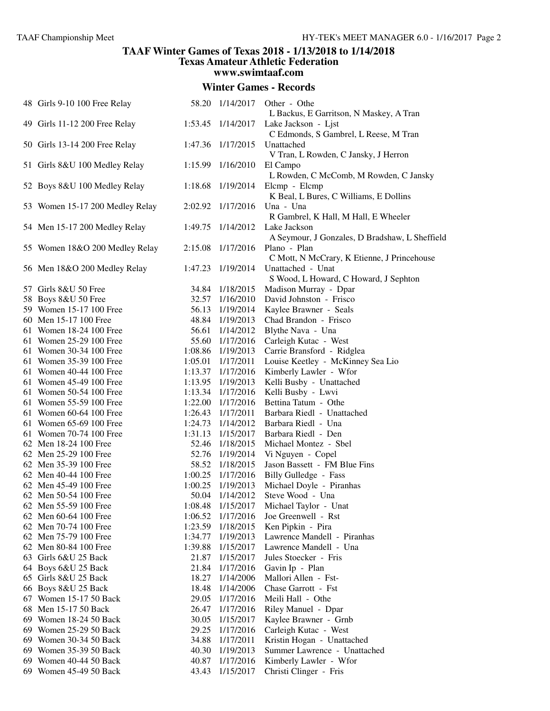| 48 Girls 9-10 100 Free Relay    |         | 58.20 1/14/2017 | Other - Othe                                                 |
|---------------------------------|---------|-----------------|--------------------------------------------------------------|
| 49 Girls 11-12 200 Free Relay   | 1:53.45 | 1/14/2017       | L Backus, E Garritson, N Maskey, A Tran                      |
|                                 |         |                 | Lake Jackson - Ljst<br>C Edmonds, S Gambrel, L Reese, M Tran |
| 50 Girls 13-14 200 Free Relay   | 1:47.36 | 1/17/2015       | Unattached                                                   |
|                                 |         |                 | V Tran, L Rowden, C Jansky, J Herron                         |
| 51 Girls 8&U 100 Medley Relay   | 1:15.99 | 1/16/2010       | El Campo                                                     |
|                                 |         |                 | L Rowden, C McComb, M Rowden, C Jansky                       |
| 52 Boys 8&U 100 Medley Relay    | 1:18.68 | 1/19/2014       | Elcmp - Elcmp                                                |
|                                 |         |                 | K Beal, L Bures, C Williams, E Dollins                       |
| 53 Women 15-17 200 Medley Relay | 2:02.92 | 1/17/2016       | Una - Una                                                    |
|                                 |         |                 | R Gambrel, K Hall, M Hall, E Wheeler                         |
| 54 Men 15-17 200 Medley Relay   | 1:49.75 | 1/14/2012       | Lake Jackson                                                 |
|                                 |         |                 | A Seymour, J Gonzales, D Bradshaw, L Sheffield               |
| 55 Women 18&O 200 Medley Relay  | 2:15.08 | 1/17/2016       | Plano - Plan                                                 |
|                                 |         |                 | C Mott, N McCrary, K Etienne, J Princehouse                  |
| 56 Men 18&O 200 Medley Relay    | 1:47.23 | 1/19/2014       | Unattached - Unat                                            |
|                                 |         |                 | S Wood, L Howard, C Howard, J Sephton                        |
| 57 Girls 8&U 50 Free            | 34.84   | 1/18/2015       | Madison Murray - Dpar                                        |
| 58 Boys 8&U 50 Free             | 32.57   | 1/16/2010       | David Johnston - Frisco                                      |
| 59 Women 15-17 100 Free         | 56.13   | 1/19/2014       | Kaylee Brawner - Seals                                       |
| 60 Men 15-17 100 Free           | 48.84   | 1/19/2013       | Chad Brandon - Frisco                                        |
| 61 Women 18-24 100 Free         | 56.61   | 1/14/2012       | Blythe Nava - Una                                            |
| 61 Women 25-29 100 Free         | 55.60   | 1/17/2016       | Carleigh Kutac - West                                        |
| 61 Women 30-34 100 Free         | 1:08.86 | 1/19/2013       | Carrie Bransford - Ridglea                                   |
| 61 Women 35-39 100 Free         | 1:05.01 | 1/17/2011       | Louise Keetley - McKinney Sea Lio                            |
| 61 Women 40-44 100 Free         | 1:13.37 | 1/17/2016       | Kimberly Lawler - Wfor                                       |
| 61 Women 45-49 100 Free         | 1:13.95 | 1/19/2013       | Kelli Busby - Unattached                                     |
| 61 Women 50-54 100 Free         | 1:13.34 | 1/17/2016       | Kelli Busby - Lwvi                                           |
| 61 Women 55-59 100 Free         | 1:22.00 | 1/17/2016       | Bettina Tatum - Othe                                         |
| 61 Women 60-64 100 Free         | 1:26.43 | 1/17/2011       | Barbara Riedl - Unattached                                   |
| 61 Women 65-69 100 Free         | 1:24.73 | 1/14/2012       | Barbara Riedl - Una                                          |
| 61 Women 70-74 100 Free         | 1:31.13 | 1/15/2017       | Barbara Riedl - Den                                          |
| 62 Men 18-24 100 Free           | 52.46   | 1/18/2015       | Michael Montez - Sbel                                        |
| 62 Men 25-29 100 Free           | 52.76   | 1/19/2014       | Vi Nguyen - Copel                                            |
| 62 Men 35-39 100 Free           | 58.52   | 1/18/2015       | Jason Bassett - FM Blue Fins                                 |
| 62 Men 40-44 100 Free           | 1:00.25 | 1/17/2016       | Billy Gulledge - Fass                                        |
| 62 Men 45-49 100 Free           | 1:00.25 | 1/19/2013       | Michael Doyle - Piranhas                                     |
| 62 Men 50-54 100 Free           | 50.04   | 1/14/2012       | Steve Wood - Una                                             |
| 62 Men 55-59 100 Free           | 1:08.48 | 1/15/2017       | Michael Taylor - Unat                                        |
| 62 Men 60-64 100 Free           | 1:06.52 | 1/17/2016       | Joe Greenwell - Rst                                          |
| 62 Men 70-74 100 Free           | 1:23.59 | 1/18/2015       | Ken Pipkin - Pira                                            |
| 62 Men 75-79 100 Free           | 1:34.77 | 1/19/2013       | Lawrence Mandell - Piranhas                                  |
| 62 Men 80-84 100 Free           | 1:39.88 | 1/15/2017       | Lawrence Mandell - Una                                       |
| 63 Girls 6&U 25 Back            | 21.87   | 1/15/2017       | Jules Stoecker - Fris                                        |
| 64 Boys 6&U 25 Back             | 21.84   | 1/17/2016       | Gavin Ip - Plan                                              |
| 65 Girls 8&U 25 Back            | 18.27   | 1/14/2006       | Mallori Allen - Fst-                                         |
| 66 Boys 8&U 25 Back             | 18.48   | 1/14/2006       | Chase Garrott - Fst                                          |
| 67 Women 15-17 50 Back          | 29.05   | 1/17/2016       | Meili Hall - Othe                                            |
| 68 Men 15-17 50 Back            | 26.47   | 1/17/2016       | Riley Manuel - Dpar                                          |
| 69 Women 18-24 50 Back          | 30.05   | 1/15/2017       | Kaylee Brawner - Grnb                                        |
| 69 Women 25-29 50 Back          | 29.25   | 1/17/2016       | Carleigh Kutac - West                                        |
| 69 Women 30-34 50 Back          | 34.88   | 1/17/2011       | Kristin Hogan - Unattached                                   |
| 69 Women 35-39 50 Back          | 40.30   | 1/19/2013       | Summer Lawrence - Unattached                                 |
| 69 Women 40-44 50 Back          | 40.87   | 1/17/2016       | Kimberly Lawler - Wfor                                       |
| 69 Women 45-49 50 Back          | 43.43   | 1/15/2017       | Christi Clinger - Fris                                       |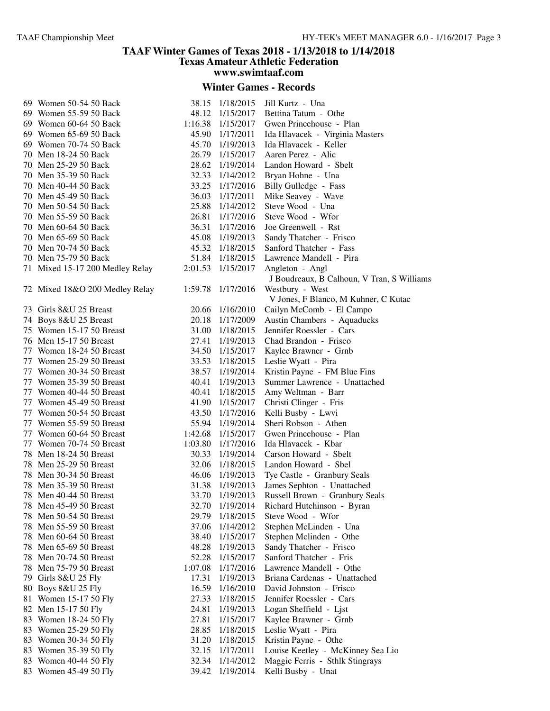| 69 Women 50-54 50 Back                           | 38.15          | 1/18/2015              | Jill Kurtz - Una                                   |
|--------------------------------------------------|----------------|------------------------|----------------------------------------------------|
| 69 Women 55-59 50 Back                           |                | 48.12 1/15/2017        | Bettina Tatum - Othe                               |
| 69 Women 60-64 50 Back                           |                | 1:16.38 1/15/2017      | Gwen Princehouse - Plan                            |
| 69 Women 65-69 50 Back                           |                | 45.90 1/17/2011        | Ida Hlavacek - Virginia Masters                    |
| 69 Women 70-74 50 Back                           | 45.70          | 1/19/2013              | Ida Hlavacek - Keller                              |
| 70 Men 18-24 50 Back                             | 26.79          | 1/15/2017              | Aaren Perez - Alic                                 |
| 70 Men 25-29 50 Back                             | 28.62          | 1/19/2014              | Landon Howard - Sbelt                              |
| 70 Men 35-39 50 Back                             |                | 32.33 1/14/2012        | Bryan Hohne - Una                                  |
| 70 Men 40-44 50 Back                             |                | 33.25 1/17/2016        | Billy Gulledge - Fass                              |
| 70 Men 45-49 50 Back                             | 36.03          | 1/17/2011              | Mike Seavey - Wave                                 |
| 70 Men 50-54 50 Back                             | 25.88          | 1/14/2012              | Steve Wood - Una                                   |
| 70 Men 55-59 50 Back                             | 26.81          | 1/17/2016              | Steve Wood - Wfor                                  |
| 70 Men 60-64 50 Back                             | 36.31          | 1/17/2016              | Joe Greenwell - Rst                                |
| 70 Men 65-69 50 Back                             |                | 45.08 1/19/2013        | Sandy Thatcher - Frisco                            |
| 70 Men 70-74 50 Back                             |                | 45.32 1/18/2015        | Sanford Thatcher - Fass                            |
| 70 Men 75-79 50 Back                             |                | 51.84 1/18/2015        | Lawrence Mandell - Pira                            |
| 71 Mixed 15-17 200 Medley Relay                  |                | 2:01.53 1/15/2017      | Angleton - Angl                                    |
|                                                  |                |                        | J Boudreaux, B Calhoun, V Tran, S Williams         |
| 72 Mixed 18&O 200 Medley Relay                   | 1:59.78        | 1/17/2016              | Westbury - West                                    |
|                                                  |                |                        | V Jones, F Blanco, M Kuhner, C Kutac               |
| 73 Girls 8&U 25 Breast                           | 20.66          | 1/16/2010              | Cailyn McComb - El Campo                           |
| 74 Boys 8&U 25 Breast                            |                | 20.18 1/17/2009        | Austin Chambers - Aquaducks                        |
| 75 Women 15-17 50 Breast                         |                | 31.00 1/18/2015        | Jennifer Roessler - Cars                           |
| 76 Men 15-17 50 Breast                           | 27.41          | 1/19/2013              | Chad Brandon - Frisco                              |
| 77 Women 18-24 50 Breast                         |                | 34.50 1/15/2017        | Kaylee Brawner - Grnb                              |
| 77 Women 25-29 50 Breast                         |                | 33.53 1/18/2015        | Leslie Wyatt - Pira                                |
| 77 Women 30-34 50 Breast                         | 38.57          | 1/19/2014              | Kristin Payne - FM Blue Fins                       |
| 77 Women 35-39 50 Breast                         | 40.41          | 1/19/2013              | Summer Lawrence - Unattached                       |
| 77 Women 40-44 50 Breast                         | 40.41          | 1/18/2015              |                                                    |
| 77 Women 45-49 50 Breast                         |                |                        | Amy Weltman - Barr                                 |
| 77 Women 50-54 50 Breast                         | 41.90          | 1/15/2017              | Christi Clinger - Fris<br>Kelli Busby - Lwvi       |
| 77 Women 55-59 50 Breast                         | 43.50<br>55.94 | 1/17/2016<br>1/19/2014 | Sheri Robson - Athen                               |
| 77 Women 60-64 50 Breast                         |                | 1:42.68 1/15/2017      | Gwen Princehouse - Plan                            |
| 77 Women 70-74 50 Breast                         |                | 1:03.80 1/17/2016      | Ida Hlavacek - Kbar                                |
| 78 Men 18-24 50 Breast                           |                | 30.33 1/19/2014        | Carson Howard - Sbelt                              |
|                                                  |                |                        | Landon Howard - Sbel                               |
| 78 Men 25-29 50 Breast                           |                | 32.06 1/18/2015        |                                                    |
| 78 Men 30-34 50 Breast                           |                | 46.06 1/19/2013        | Tye Castle - Granbury Seals                        |
| 78 Men 35-39 50 Breast                           | 31.38<br>33.70 | 1/19/2013<br>1/19/2013 | James Sephton - Unattached                         |
| 78 Men 40-44 50 Breast<br>78 Men 45-49 50 Breast |                | 32.70 1/19/2014        | Russell Brown - Granbury Seals                     |
| 78 Men 50-54 50 Breast                           | 29.79          | 1/18/2015              | Richard Hutchinson - Byran<br>Steve Wood - Wfor    |
| 78 Men 55-59 50 Breast                           | 37.06          |                        |                                                    |
| 78 Men 60-64 50 Breast                           |                | 1/14/2012              | Stephen McLinden - Una                             |
|                                                  | 38.40          | 1/15/2017              | Stephen Mclinden - Othe                            |
| 78 Men 65-69 50 Breast<br>78 Men 70-74 50 Breast | 48.28          | 1/19/2013              | Sandy Thatcher - Frisco<br>Sanford Thatcher - Fris |
|                                                  | 52.28          | 1/15/2017              |                                                    |
| 78 Men 75-79 50 Breast<br>79 Girls 8&U 25 Fly    | 1:07.08        | 1/17/2016              | Lawrence Mandell - Othe                            |
|                                                  | 17.31          | 1/19/2013              | Briana Cardenas - Unattached                       |
| 80 Boys 8&U 25 Fly                               |                | 16.59 1/16/2010        | David Johnston - Frisco                            |
| 81 Women 15-17 50 Fly                            | 27.33          | 1/18/2015              | Jennifer Roessler - Cars                           |
| 82 Men 15-17 50 Fly                              | 24.81          | 1/19/2013              | Logan Sheffield - Ljst                             |
| 83 Women 18-24 50 Fly                            | 27.81          | 1/15/2017              | Kaylee Brawner - Grnb                              |
| 83 Women 25-29 50 Fly                            | 28.85          | 1/18/2015              | Leslie Wyatt - Pira                                |
| 83 Women 30-34 50 Fly                            | 31.20          | 1/18/2015              | Kristin Payne - Othe                               |
| 83 Women 35-39 50 Fly                            | 32.15          | 1/17/2011              | Louise Keetley - McKinney Sea Lio                  |
| 83 Women 40-44 50 Fly                            | 32.34          | 1/14/2012              | Maggie Ferris - Sthlk Stingrays                    |
| 83 Women 45-49 50 Fly                            | 39.42          | 1/19/2014              | Kelli Busby - Unat                                 |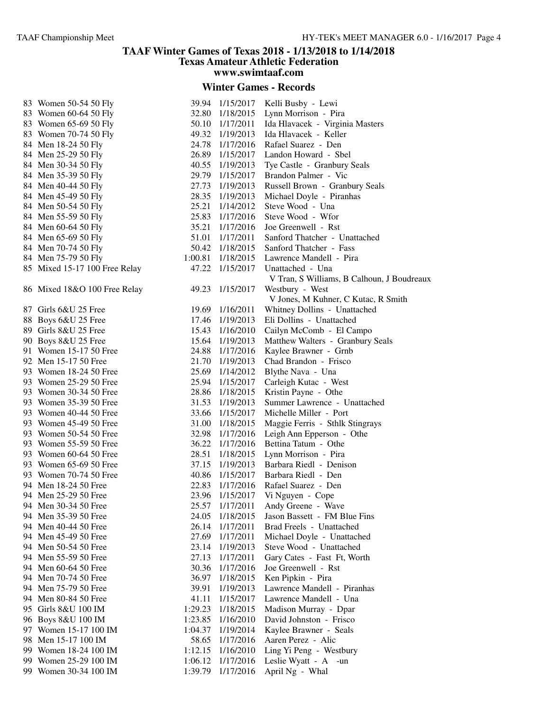| 83<br>83<br>83<br>83<br>84 | Women 50-54 50 Fly<br>Women 60-64 50 Fly<br>Women 65-69 50 Fly<br>Women 70-74 50 Fly<br>Men 18-24 50 Fly |   |
|----------------------------|----------------------------------------------------------------------------------------------------------|---|
| 84                         | Men 25-29 50 Fly                                                                                         |   |
| 84                         | Men 30-34 50 Fly                                                                                         |   |
| 84                         | Men 35-39 50 Fly                                                                                         |   |
| 84                         | Men 40-44 50 Fly                                                                                         |   |
| 84                         | Men 45-49 50 Fly                                                                                         |   |
| 84                         | Men 50-54 50 Fly                                                                                         |   |
| 84                         | Men 55-59 50 Fly                                                                                         |   |
| 84                         | Men 60-64 50 Fly                                                                                         |   |
| 84                         | Men 65-69 50 Fly                                                                                         |   |
| 84                         | Men 70-74 50 Fly                                                                                         |   |
| 84                         | Men 75-79 50 Fly                                                                                         | 1 |
| 85                         | Mixed 15-17 100 Free Relay                                                                               |   |
|                            | 86 Mixed 18&O 100 Free Relay                                                                             |   |
| 87                         | Girls 6&U 25 Free                                                                                        |   |
| 88                         | Boys 6&U 25 Free                                                                                         |   |
| 89                         | Girls 8&U 25 Free                                                                                        |   |
| 90                         | Boys 8&U 25 Free                                                                                         |   |
| 91                         | Women 15-17 50 Free                                                                                      |   |
| 92                         | Men 15-17 50 Free                                                                                        |   |
| 93                         | Women 18-24 50 Free                                                                                      |   |
| 93                         | Women 25-29 50 Free                                                                                      |   |
| 93                         | Women 30-34 50 Free                                                                                      |   |
| 93                         | Women 35-39 50 Free                                                                                      |   |
| 93                         | Women 40-44 50 Free                                                                                      |   |
| 93                         | Women 45-49 50 Free                                                                                      |   |
| 93                         | Women 50-54 50 Free                                                                                      |   |
| 93                         | Women 55-59 50 Free                                                                                      |   |
| 93                         | Women 60-64 50 Free                                                                                      |   |
| 93                         | Women 65-69 50 Free                                                                                      |   |
| 93                         | Women 70-74 50 Free                                                                                      |   |
| 94                         | Men 18-24 50 Free                                                                                        |   |
| 94                         | Men 25-29 50 Free                                                                                        |   |
| 94                         | Men 30-34 50 Free                                                                                        |   |
| 94<br>94                   | Men 35-39 50 Free                                                                                        |   |
| 94                         | Men 40-44 50 Free<br>Men 45-49 50 Free                                                                   |   |
| 94                         | Men 50-54 50 Free                                                                                        |   |
| 94                         | Men 55-59 50 Free                                                                                        |   |
| 94                         | Men 60-64 50 Free                                                                                        |   |
| 94                         | Men 70-74 50 Free                                                                                        |   |
| 94                         | Men 75-79 50 Free                                                                                        |   |
| 94                         | Men 80-84 50 Free                                                                                        |   |
| 95                         | Girls 8&U 100 IM                                                                                         | 1 |
| 96                         | Boys 8&U 100 IM                                                                                          | 1 |
| 97                         | Women 15-17 100 IM                                                                                       | 1 |
| 98                         | Men 15-17 100 IM                                                                                         |   |
| 99                         | Women 18-24 100 IM                                                                                       | 1 |
| 99                         | Women 25-29 100 IM                                                                                       | 1 |
| 99                         | Women 30-34 100 IM                                                                                       | 1 |
|                            |                                                                                                          |   |

| 83 Women 50-54 50 Fly         |         | 39.94 1/15/2017   | Kelli Busby - Lewi                         |
|-------------------------------|---------|-------------------|--------------------------------------------|
| 83 Women 60-64 50 Fly         | 32.80   | 1/18/2015         | Lynn Morrison - Pira                       |
| 83 Women 65-69 50 Fly         |         | 50.10 1/17/2011   | Ida Hlavacek - Virginia Masters            |
| 83 Women 70-74 50 Fly         | 49.32   | 1/19/2013         | Ida Hlavacek - Keller                      |
| 84 Men 18-24 50 Fly           |         | 24.78 1/17/2016   | Rafael Suarez - Den                        |
| 84 Men 25-29 50 Fly           |         | 26.89 1/15/2017   | Landon Howard - Sbel                       |
| 84 Men 30-34 50 Fly           |         | 40.55 1/19/2013   | Tye Castle - Granbury Seals                |
| 84 Men 35-39 50 Fly           |         | 29.79 1/15/2017   | Brandon Palmer - Vic                       |
| 84 Men 40-44 50 Fly           |         | 27.73 1/19/2013   | Russell Brown - Granbury Seals             |
| 84 Men 45-49 50 Fly           |         | 28.35 1/19/2013   | Michael Doyle - Piranhas                   |
| 84 Men 50-54 50 Fly           | 25.21   | 1/14/2012         | Steve Wood - Una                           |
|                               | 25.83   |                   | Steve Wood - Wfor                          |
| 84 Men 55-59 50 Fly           |         | 1/17/2016         |                                            |
| 84 Men 60-64 50 Fly           | 35.21   | 1/17/2016         | Joe Greenwell - Rst                        |
| 84 Men 65-69 50 Fly           | 51.01   | 1/17/2011         | Sanford Thatcher - Unattached              |
| 84 Men 70-74 50 Fly           |         | 50.42 1/18/2015   | Sanford Thatcher - Fass                    |
| 84 Men 75-79 50 Fly           |         | 1:00.81 1/18/2015 | Lawrence Mandell - Pira                    |
| 85 Mixed 15-17 100 Free Relay | 47.22   | 1/15/2017         | Unattached - Una                           |
|                               |         |                   | V Tran, S Williams, B Calhoun, J Boudreaux |
| 86 Mixed 18&O 100 Free Relay  |         | 49.23 1/15/2017   | Westbury - West                            |
|                               |         |                   | V Jones, M Kuhner, C Kutac, R Smith        |
| 87 Girls 6&U 25 Free          |         | 19.69 1/16/2011   | Whitney Dollins - Unattached               |
| 88 Boys 6&U 25 Free           |         | 17.46 1/19/2013   | Eli Dollins - Unattached                   |
| 89 Girls 8&U 25 Free          | 15.43   | 1/16/2010         | Cailyn McComb - El Campo                   |
| 90 Boys 8&U 25 Free           | 15.64   | 1/19/2013         | Matthew Walters - Granbury Seals           |
| 91 Women 15-17 50 Free        | 24.88   | 1/17/2016         | Kaylee Brawner - Grnb                      |
| 92 Men 15-17 50 Free          | 21.70   | 1/19/2013         | Chad Brandon - Frisco                      |
| 93 Women 18-24 50 Free        | 25.69   | 1/14/2012         | Blythe Nava - Una                          |
| 93 Women 25-29 50 Free        | 25.94   | 1/15/2017         | Carleigh Kutac - West                      |
| 93 Women 30-34 50 Free        |         | 28.86 1/18/2015   | Kristin Payne - Othe                       |
| 93 Women 35-39 50 Free        |         | 31.53 1/19/2013   | Summer Lawrence - Unattached               |
| 93 Women 40-44 50 Free        |         | 33.66 1/15/2017   | Michelle Miller - Port                     |
| 93 Women 45-49 50 Free        |         | 31.00 1/18/2015   | Maggie Ferris - Sthlk Stingrays            |
| 93 Women 50-54 50 Free        |         | 32.98 1/17/2016   | Leigh Ann Epperson - Othe                  |
| 93 Women 55-59 50 Free        | 36.22   | 1/17/2016         | Bettina Tatum - Othe                       |
| 93 Women 60-64 50 Free        | 28.51   | 1/18/2015         | Lynn Morrison - Pira                       |
| 93 Women 65-69 50 Free        | 37.15   | 1/19/2013         | Barbara Riedl - Denison                    |
| 93 Women 70-74 50 Free        | 40.86   | 1/15/2017         | Barbara Riedl - Den                        |
| 94 Men 18-24 50 Free          | 22.83   | 1/17/2016         | Rafael Suarez - Den                        |
| 94 Men 25-29 50 Free          |         | 23.96 1/15/2017   | Vi Nguyen - Cope                           |
| 94 Men 30-34 50 Free          | 25.57   | 1/17/2011         | Andy Greene - Wave                         |
| 94 Men 35-39 50 Free          | 24.05   | 1/18/2015         | Jason Bassett - FM Blue Fins               |
| 94 Men 40-44 50 Free          | 26.14   | 1/17/2011         | Brad Freels - Unattached                   |
| 94 Men 45-49 50 Free          | 27.69   | 1/17/2011         | Michael Doyle - Unattached                 |
| 94 Men 50-54 50 Free          | 23.14   |                   | Steve Wood - Unattached                    |
|                               |         | 1/19/2013         |                                            |
| 94 Men 55-59 50 Free          | 27.13   | 1/17/2011         | Gary Cates - Fast Ft, Worth                |
| 94 Men 60-64 50 Free          | 30.36   | 1/17/2016         | Joe Greenwell - Rst                        |
| 94 Men 70-74 50 Free          | 36.97   | 1/18/2015         | Ken Pipkin - Pira                          |
| 94 Men 75-79 50 Free          | 39.91   | 1/19/2013         | Lawrence Mandell - Piranhas                |
| 94 Men 80-84 50 Free          | 41.11   | 1/15/2017         | Lawrence Mandell - Una                     |
| 95 Girls 8&U 100 IM           | 1:29.23 | 1/18/2015         | Madison Murray - Dpar                      |
| 96 Boys 8&U 100 IM            | 1:23.85 | 1/16/2010         | David Johnston - Frisco                    |
| 97 Women 15-17 100 IM         | 1:04.37 | 1/19/2014         | Kaylee Brawner - Seals                     |
| 98 Men 15-17 100 IM           | 58.65   | 1/17/2016         | Aaren Perez - Alic                         |
| 99 Women 18-24 100 IM         | 1:12.15 | 1/16/2010         | Ling Yi Peng - Westbury                    |
| 99 Women 25-29 100 IM         |         | 1:06.12 1/17/2016 | Leslie Wyatt - A -un                       |
| 99 Women 30-34 100 IM         |         | 1:39.79 1/17/2016 | April Ng - Whal                            |